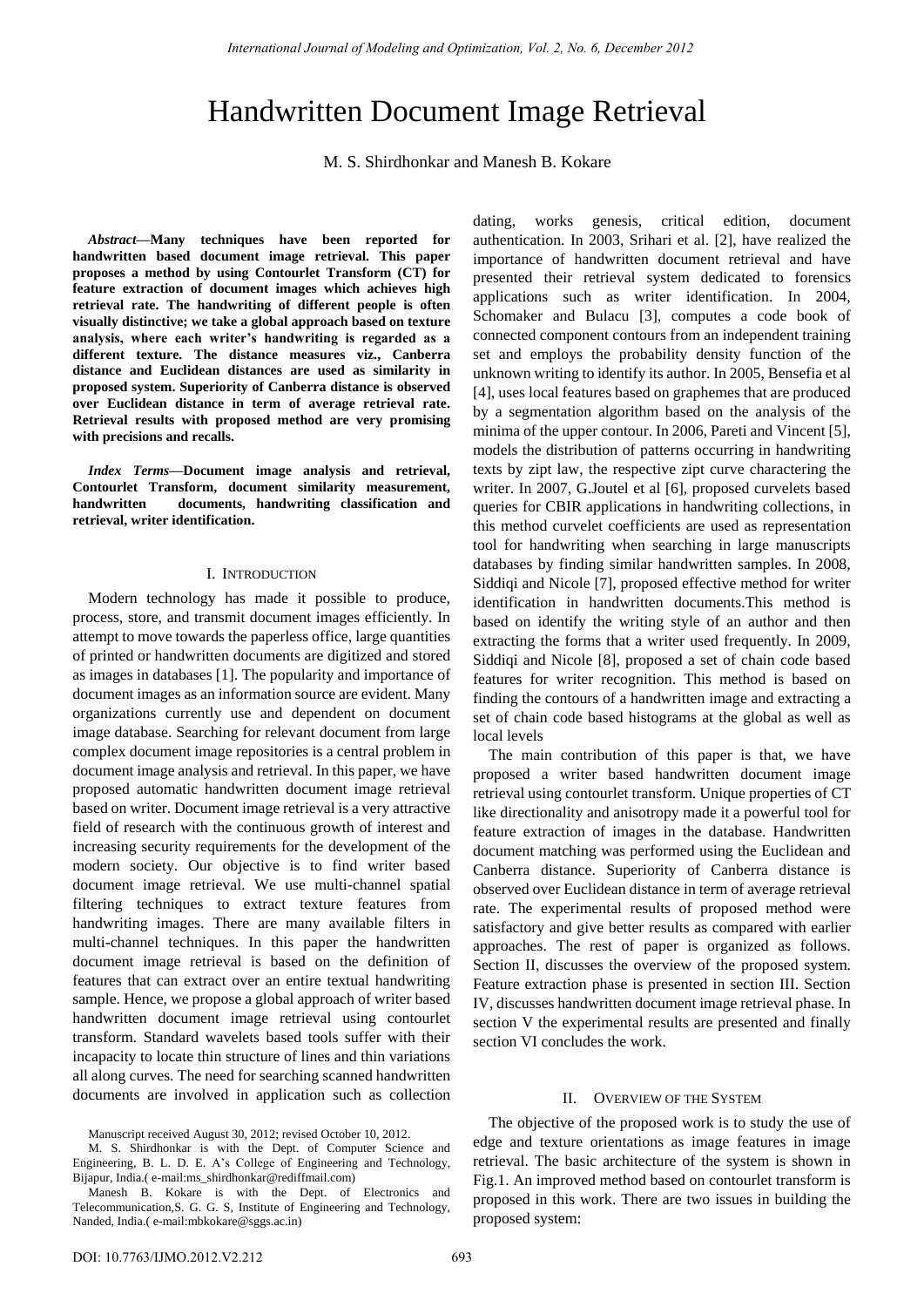# Handwritten Document Image Retrieval

M. S. Shirdhonkar and Manesh B. Kokare

*Abstract***—Many techniques have been reported for handwritten based document image retrieval. This paper proposes a method by using Contourlet Transform (CT) for feature extraction of document images which achieves high retrieval rate. The handwriting of different people is often visually distinctive; we take a global approach based on texture analysis, where each writer's handwriting is regarded as a different texture. The distance measures viz., Canberra distance and Euclidean distances are used as similarity in proposed system. Superiority of Canberra distance is observed over Euclidean distance in term of average retrieval rate. Retrieval results with proposed method are very promising with precisions and recalls.** 

*Index Terms***—Document image analysis and retrieval, Contourlet Transform, document similarity measurement, handwritten documents, handwriting classification and retrieval, writer identification.** 

#### I. INTRODUCTION

Modern technology has made it possible to produce, process, store, and transmit document images efficiently. In attempt to move towards the paperless office, large quantities of printed or handwritten documents are digitized and stored as images in databases [1]. The popularity and importance of document images as an information source are evident. Many organizations currently use and dependent on document image database. Searching for relevant document from large complex document image repositories is a central problem in document image analysis and retrieval. In this paper, we have proposed automatic handwritten document image retrieval based on writer. Document image retrieval is a very attractive field of research with the continuous growth of interest and increasing security requirements for the development of the modern society. Our objective is to find writer based document image retrieval. We use multi-channel spatial filtering techniques to extract texture features from handwriting images. There are many available filters in multi-channel techniques. In this paper the handwritten document image retrieval is based on the definition of features that can extract over an entire textual handwriting sample. Hence, we propose a global approach of writer based handwritten document image retrieval using contourlet transform. Standard wavelets based tools suffer with their incapacity to locate thin structure of lines and thin variations all along curves. The need for searching scanned handwritten documents are involved in application such as collection

Manuscript received August 30, 2012; revised October 10, 2012.

M. S. Shirdhonkar is with the Dept. of Computer Science and Engineering, B. L. D. E. A"s College of Engineering and Technology, Bijapur, India.( e-mail:ms\_shirdhonkar@rediffmail.com)

dating, works genesis, critical edition, document authentication. In 2003, Srihari et al. [2], have realized the importance of handwritten document retrieval and have presented their retrieval system dedicated to forensics applications such as writer identification. In 2004, Schomaker and Bulacu [3], computes a code book of connected component contours from an independent training set and employs the probability density function of the unknown writing to identify its author. In 2005, Bensefia et al [4], uses local features based on graphemes that are produced by a segmentation algorithm based on the analysis of the minima of the upper contour. In 2006, Pareti and Vincent [5], models the distribution of patterns occurring in handwriting texts by zipt law, the respective zipt curve charactering the writer. In 2007, G.Joutel et al [6], proposed curvelets based queries for CBIR applications in handwriting collections, in this method curvelet coefficients are used as representation tool for handwriting when searching in large manuscripts databases by finding similar handwritten samples. In 2008, Siddiqi and Nicole [7], proposed effective method for writer identification in handwritten documents.This method is based on identify the writing style of an author and then extracting the forms that a writer used frequently. In 2009, Siddiqi and Nicole [8], proposed a set of chain code based features for writer recognition. This method is based on finding the contours of a handwritten image and extracting a set of chain code based histograms at the global as well as local levels

The main contribution of this paper is that, we have proposed a writer based handwritten document image retrieval using contourlet transform. Unique properties of CT like directionality and anisotropy made it a powerful tool for feature extraction of images in the database. Handwritten document matching was performed using the Euclidean and Canberra distance. Superiority of Canberra distance is observed over Euclidean distance in term of average retrieval rate. The experimental results of proposed method were satisfactory and give better results as compared with earlier approaches. The rest of paper is organized as follows. Section II, discusses the overview of the proposed system. Feature extraction phase is presented in section III. Section IV, discusses handwritten document image retrieval phase. In section V the experimental results are presented and finally section VI concludes the work.

# II. OVERVIEW OF THE SYSTEM

The objective of the proposed work is to study the use of edge and texture orientations as image features in image retrieval. The basic architecture of the system is shown in Fig.1. An improved method based on contourlet transform is proposed in this work. There are two issues in building the proposed system:

Manesh B. Kokare is with the Dept. of Electronics and Telecommunication,S. G. G. S, Institute of Engineering and Technology, Nanded, India.( e-mail:mbkokare@sggs.ac.in)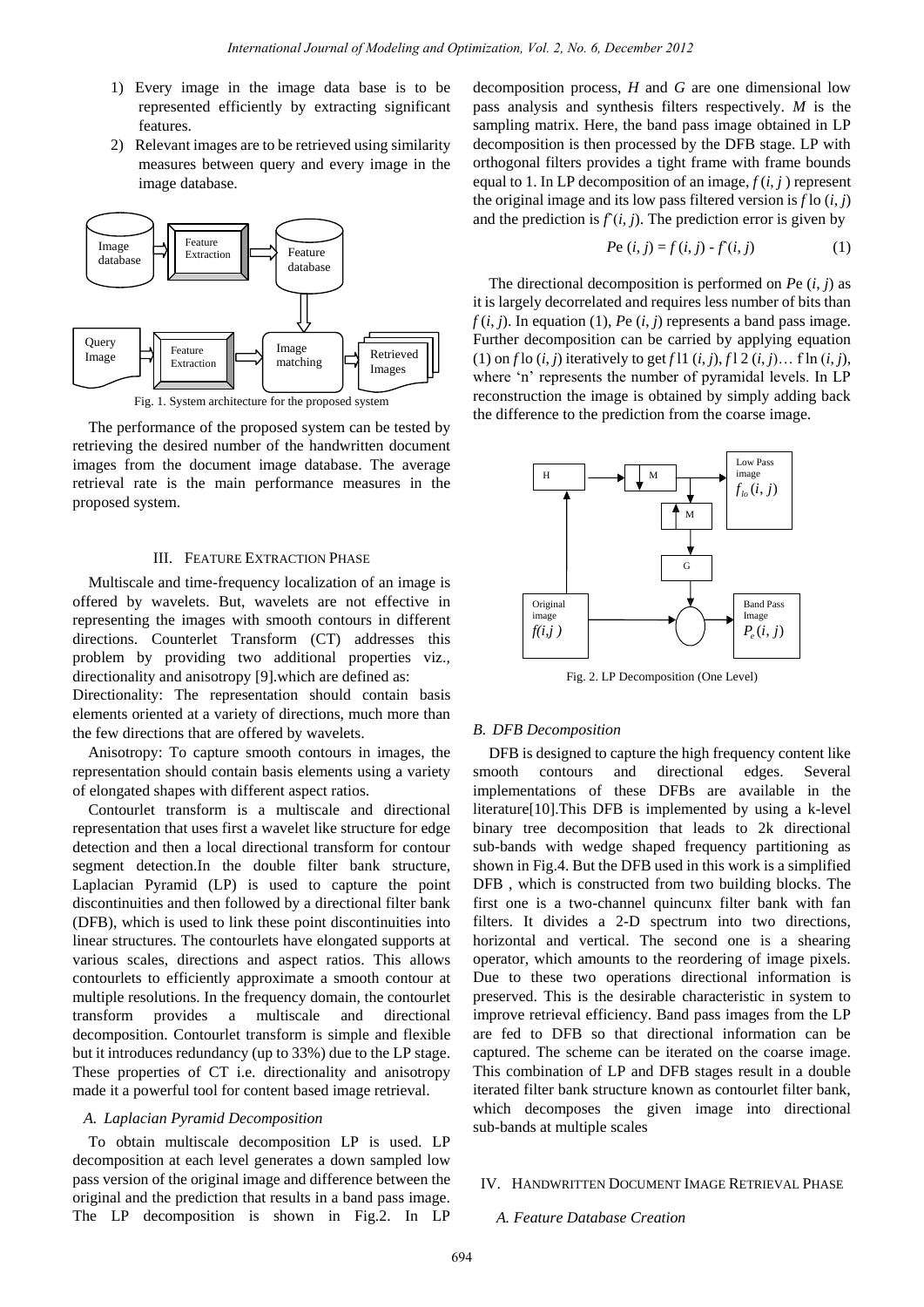- 1) Every image in the image data base is to be represented efficiently by extracting significant features.
- 2) Relevant images are to be retrieved using similarity measures between query and every image in the image database.



The performance of the proposed system can be tested by retrieving the desired number of the handwritten document images from the document image database. The average retrieval rate is the main performance measures in the proposed system.

#### III. FEATURE EXTRACTION PHASE

Multiscale and time-frequency localization of an image is offered by wavelets. But, wavelets are not effective in representing the images with smooth contours in different directions. Counterlet Transform (CT) addresses this problem by providing two additional properties viz., directionality and anisotropy [9].which are defined as:

Directionality: The representation should contain basis elements oriented at a variety of directions, much more than the few directions that are offered by wavelets.

Anisotropy: To capture smooth contours in images, the representation should contain basis elements using a variety of elongated shapes with different aspect ratios.

Contourlet transform is a multiscale and directional representation that uses first a wavelet like structure for edge detection and then a local directional transform for contour segment detection.In the double filter bank structure, Laplacian Pyramid (LP) is used to capture the point discontinuities and then followed by a directional filter bank (DFB), which is used to link these point discontinuities into linear structures. The contourlets have elongated supports at various scales, directions and aspect ratios. This allows contourlets to efficiently approximate a smooth contour at multiple resolutions. In the frequency domain, the contourlet transform provides a multiscale and directional decomposition. Contourlet transform is simple and flexible but it introduces redundancy (up to 33%) due to the LP stage. These properties of CT i.e. directionality and anisotropy made it a powerful tool for content based image retrieval.

### *A. Laplacian Pyramid Decomposition*

To obtain multiscale decomposition LP is used. LP decomposition at each level generates a down sampled low pass version of the original image and difference between the original and the prediction that results in a band pass image. The LP decomposition is shown in Fig.2. In LP decomposition process, *H* and *G* are one dimensional low pass analysis and synthesis filters respectively. *M* is the sampling matrix. Here, the band pass image obtained in LP decomposition is then processed by the DFB stage. LP with orthogonal filters provides a tight frame with frame bounds equal to 1. In LP decomposition of an image,  $f(i, j)$  represent the original image and its low pass filtered version is *f* lo (*i*, *j*) and the prediction is  $f(i, j)$ . The prediction error is given by

$$
Pe(i, j) = f(i, j) - f(i, j)
$$
 (1)

The directional decomposition is performed on *P*e (*i*, *j*) as it is largely decorrelated and requires less number of bits than  $f(i, j)$ . In equation (1), *Pe* (*i*, *j*) represents a band pass image. Further decomposition can be carried by applying equation (1) on  $f$  lo  $(i, j)$  iteratively to get  $f$  l1  $(i, j)$ ,  $f$  l  $2(i, j)$ ... f ln  $(i, j)$ , where 'n' represents the number of pyramidal levels. In LP reconstruction the image is obtained by simply adding back the difference to the prediction from the coarse image.



Fig. 2. LP Decomposition (One Level)

#### *B. DFB Decomposition*

DFB is designed to capture the high frequency content like smooth contours and directional edges. Several implementations of these DFBs are available in the literature[10].This DFB is implemented by using a k-level binary tree decomposition that leads to 2k directional sub-bands with wedge shaped frequency partitioning as shown in Fig.4. But the DFB used in this work is a simplified DFB , which is constructed from two building blocks. The first one is a two-channel quincunx filter bank with fan filters. It divides a 2-D spectrum into two directions, horizontal and vertical. The second one is a shearing operator, which amounts to the reordering of image pixels. Due to these two operations directional information is preserved. This is the desirable characteristic in system to improve retrieval efficiency. Band pass images from the LP are fed to DFB so that directional information can be captured. The scheme can be iterated on the coarse image. This combination of LP and DFB stages result in a double iterated filter bank structure known as contourlet filter bank, which decomposes the given image into directional sub-bands at multiple scales

## IV. HANDWRITTEN DOCUMENT IMAGE RETRIEVAL PHASE

 *A. Feature Database Creation*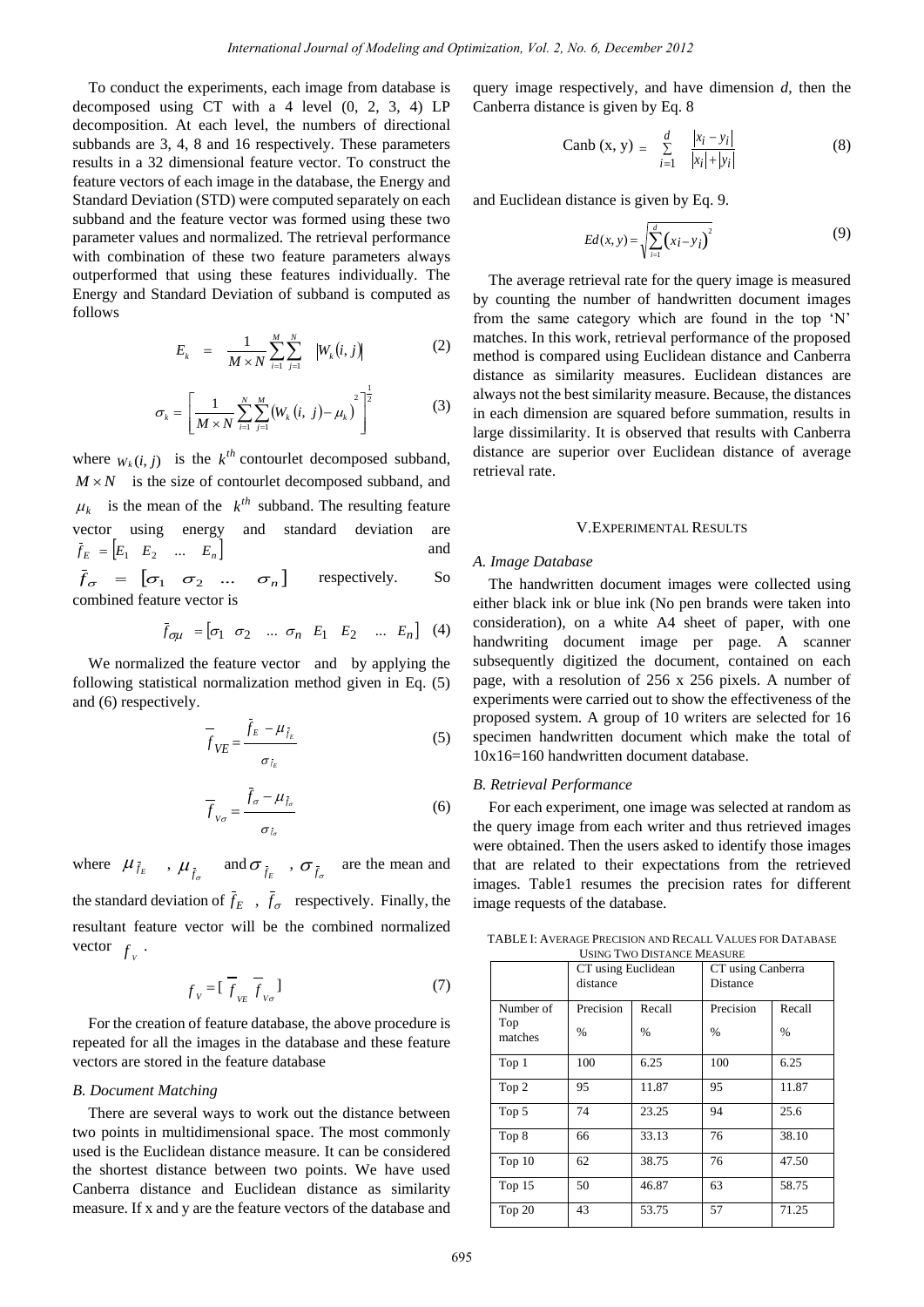To conduct the experiments, each image from database is decomposed using CT with a 4 level (0, 2, 3, 4) LP decomposition. At each level, the numbers of directional subbands are 3, 4, 8 and 16 respectively. These parameters results in a 32 dimensional feature vector. To construct the feature vectors of each image in the database, the Energy and Standard Deviation (STD) were computed separately on each subband and the feature vector was formed using these two parameter values and normalized. The retrieval performance with combination of these two feature parameters always outperformed that using these features individually. The Energy and Standard Deviation of subband is computed as follows

$$
E_k = \frac{1}{M \times N} \sum_{i=1}^{M} \sum_{j=1}^{N} |W_k(i, j)| \qquad (2)
$$

$$
\sigma_{k} = \left[\frac{1}{M \times N} \sum_{i=1}^{N} \sum_{j=1}^{M} (W_{k}(i, j) - \mu_{k})^{2}\right]^{\frac{1}{2}}
$$
(3)

where  $W_k(i, j)$  is the  $k^{th}$  contourlet decomposed subband,  $M \times N$  is the size of contourlet decomposed subband, and  $\mu_k$  is the mean of the  $k^{th}$  subband. The resulting feature vector using energy and standard deviation are  $f_E = \begin{bmatrix} E_1 & E_2 & \dots & E_n \end{bmatrix}$  and  $\bar{f}_{\sigma} = [\sigma_1 \quad \sigma_2 \quad ... \quad \sigma_n]$ respectively. So combined feature vector is

$$
\bar{f}_{\sigma\mu} = [\sigma_1 \quad \sigma_2 \quad \dots \quad \sigma_n \quad E_1 \quad E_2 \quad \dots \quad E_n]
$$
 (4)

We normalized the feature vector and by applying the following statistical normalization method given in Eq. (5) and (6) respectively.

$$
\frac{\overline{f}}{f_{VE}} = \frac{f_E - \mu_{\tilde{f}_E}}{\sigma_{\tilde{f}_E}}
$$
\n(5)\n
$$
\frac{\overline{f}}{f_{V\sigma}} = \frac{\overline{f}_{\sigma} - \mu_{\tilde{f}_{\sigma}}}{(6)}
$$

where  $\mu_{\bar{f}_E}$ ,  $\mu_{\bar{f}_\sigma}$  and  $\sigma_{\bar{f}_E}$ ,  $\sigma_{\bar{f}_\sigma}$  are the mean and the standard deviation of  $f_E$ ,  $f_{\sigma}$  respectively. Finally, the resultant feature vector will be the combined normalized vector  $f_v$ .

 $\sigma_{\scriptscriptstyle f_{\sigma}}$ 

$$
f_V = \left[\overline{f}_{VE} \overline{f}_{V\sigma}\right] \tag{7}
$$

For the creation of feature database, the above procedure is repeated for all the images in the database and these feature vectors are stored in the feature database

#### *B. Document Matching*

There are several ways to work out the distance between two points in multidimensional space. The most commonly used is the Euclidean distance measure. It can be considered the shortest distance between two points. We have used Canberra distance and Euclidean distance as similarity measure. If x and y are the feature vectors of the database and query image respectively, and have dimension *d*, then the Canberra distance is given by Eq. 8

Canb (x, y) = 
$$
\sum_{i=1}^{d} \frac{|x_i - y_i|}{|x_i| + |y_i|}
$$
 (8)

and Euclidean distance is given by Eq. 9.

$$
Ed(x, y) = \sqrt{\sum_{i=1}^{d} (x_i - y_i)^2}
$$
 (9)

The average retrieval rate for the query image is measured by counting the number of handwritten document images from the same category which are found in the top "N" matches. In this work, retrieval performance of the proposed method is compared using Euclidean distance and Canberra distance as similarity measures. Euclidean distances are always not the best similarity measure. Because, the distances in each dimension are squared before summation, results in large dissimilarity. It is observed that results with Canberra distance are superior over Euclidean distance of average retrieval rate.

#### V.EXPERIMENTAL RESULTS

## *A. Image Database*

The handwritten document images were collected using either black ink or blue ink (No pen brands were taken into consideration), on a white A4 sheet of paper, with one handwriting document image per page. A scanner subsequently digitized the document, contained on each page, with a resolution of 256 x 256 pixels. A number of experiments were carried out to show the effectiveness of the proposed system. A group of 10 writers are selected for 16 specimen handwritten document which make the total of 10x16=160 handwritten document database.

## *B. Retrieval Performance*

For each experiment, one image was selected at random as the query image from each writer and thus retrieved images were obtained. Then the users asked to identify those images that are related to their expectations from the retrieved images. Table1 resumes the precision rates for different image requests of the database.

TABLE I: AVERAGE PRECISION AND RECALL VALUES FOR DATABASE USING TWO DISTANCE MEASURE

| Convol 1 NO DISTRINGE INIERSORE |                                |                |                               |             |  |  |
|---------------------------------|--------------------------------|----------------|-------------------------------|-------------|--|--|
|                                 | CT using Euclidean<br>distance |                | CT using Canberra<br>Distance |             |  |  |
| Number of<br>Top<br>matches     | Precision<br>$\%$              | Recall<br>$\%$ | Precision<br>$\%$             | Recall<br>% |  |  |
| Top 1                           | 100                            | 6.25           | 100                           | 6.25        |  |  |
| Top 2                           | 95                             | 11.87          | 95                            | 11.87       |  |  |
| Top 5                           | 74                             | 23.25          | 94                            | 25.6        |  |  |
| Top 8                           | 66                             | 33.13          | 76                            | 38.10       |  |  |
| Top 10                          | 62                             | 38.75          | 76                            | 47.50       |  |  |
| Top 15                          | 50                             | 46.87          | 63                            | 58.75       |  |  |
| Top 20                          | 43                             | 53.75          | 57                            | 71.25       |  |  |